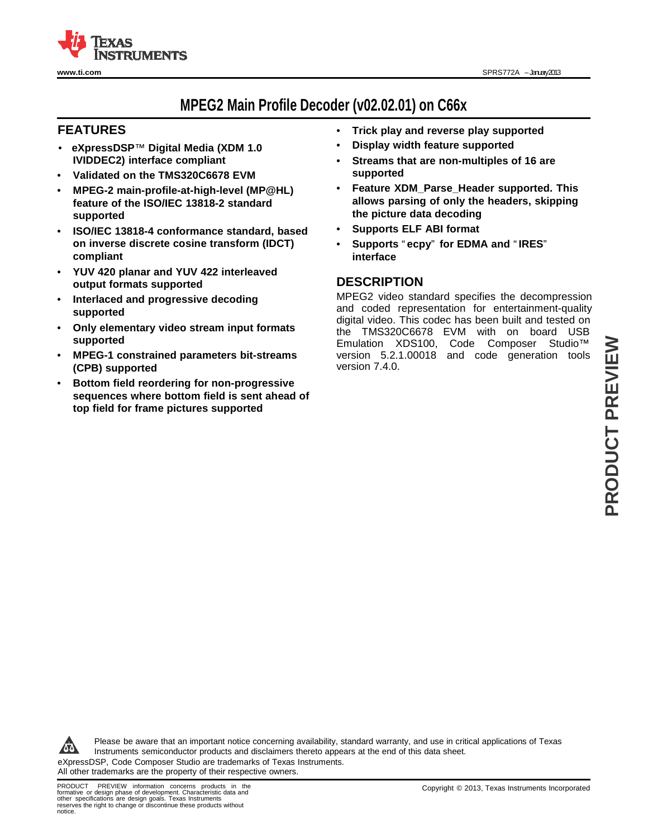

# **MPEG2 Main Profile Decoder (v02.02.01) on C66x**

- 
- **Validated on the TMS320C6678 EVM**
- **MPEG-2 main-profile-at-high-level (MP@HL) feature of the ISO/IEC 13818-2 standard supported**
- **ISO/IEC 13818-4 conformance standard, based on inverse discrete cosine transform (IDCT)** • **Supports** " **ecpy**" **for EDMA and** " **IRES**" **compliant interface**
- **YUV 420 planar and YUV 422 interleaved output formats supported**
- **Interlaced and progressive decoding supported**
- 
- **MPEG-1 constrained parameters bit-streams (CPB) supported**
- **Bottom field reordering for non-progressive sequences where bottom field is sent ahead of top field for frame pictures supported**
- **FEATURES Trick play and reverse play supported**
	- **eXpressDSP**™ **Digital Media (XDM 1.0 Display width feature supported**
	- **IVIDDEC2) interface compliant Streams that are non-multiples of 16 are supported**
		- **Feature XDM\_Parse\_Header supported. This allows parsing of only the headers, skipping the picture data decoding**
		- **Supports ELF ABI format**
		-

## **DESCRIPTION**

MPEG2 video standard specifies the decompression and coded representation for entertainment-quality digital video. This codec has been built and tested on **Only elementary video stream input formats** and the TMS320C6678 EVM with on board USB<br>supported the TMS320C6678 EM with on board USB **supported** Emulation XDS100, Code Composer Studio™ version 5.2.1.00018 and code generation tools version 7.4.0.

Please be aware that an important notice concerning availability, standard warranty, and use in critical applications of Texas ÆΛ Instruments semiconductor products and disclaimers thereto appears at the end of this data sheet. eXpressDSP, Code Composer Studio are trademarks of Texas Instruments. All other trademarks are the property of their respective owners.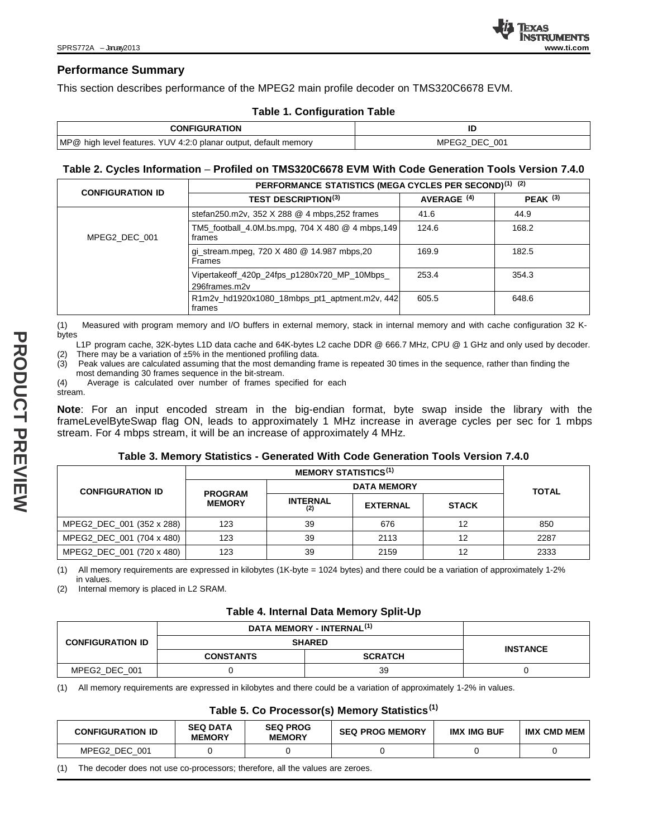### **Performance Summary**

This section describes performance of the MPEG2 main profile decoder on TMS320C6678 EVM.

#### **Table 1. Configuration Table**

| <b>CONFIGURATION</b>                                             | ID            |
|------------------------------------------------------------------|---------------|
| MP@ high level features. YUV 4:2:0 planar output, default memory | MPEG2 DEC 001 |

#### **Table 2. Cycles Information** – **Profiled on TMS320C6678 EVM With Code Generation Tools Version 7.4.0**

|                         | PERFORMANCE STATISTICS (MEGA CYCLES PER SECOND) <sup>(1)</sup> (2) |                        |                     |  |
|-------------------------|--------------------------------------------------------------------|------------------------|---------------------|--|
| <b>CONFIGURATION ID</b> | <b>TEST DESCRIPTION(3)</b>                                         | AVERAGE <sup>(4)</sup> | PEAK <sup>(3)</sup> |  |
|                         | stefan250.m2v, 352 X 288 @ 4 mbps, 252 frames                      | 41.6                   | 44.9                |  |
| MPEG2 DEC 001           | TM5_football_4.0M.bs.mpg, 704 X 480 @ 4 mbps,149<br>frames         | 124.6                  | 168.2               |  |
|                         | gi_stream.mpeg, 720 X 480 @ 14.987 mbps,20<br>Frames               | 169.9                  | 182.5               |  |
|                         | Vipertakeoff_420p_24fps_p1280x720_MP_10Mbps_<br>296frames.m2v      | 253.4                  | 354.3               |  |
|                         | R1m2v_hd1920x1080_18mbps_pt1_aptment.m2v, 442<br>frames            | 605.5                  | 648.6               |  |

(1) Measured with program memory and I/O buffers in external memory, stack in internal memory and with cache configuration 32 Kbytes

L1P program cache, 32K-bytes L1D data cache and 64K-bytes L2 cache DDR @ 666.7 MHz, CPU @ 1 GHz and only used by decoder.

(2) There may be a variation of  $\pm 5\%$  in the mentioned profiling data.<br>(3) Peak values are calculated assuming that the most demanding f Peak values are calculated assuming that the most demanding frame is repeated 30 times in the sequence, rather than finding the

- most demanding 30 frames sequence in the bit-stream.
- (4) Average is calculated over number of frames specified for each

#### stream.

**Note**: For an input encoded stream in the big-endian format, byte swap inside the library with the frameLevelByteSwap flag ON, leads to approximately 1 MHz increase in average cycles per sec for 1 mbps stream. For 4 mbps stream, it will be an increase of approximately 4 MHz.

#### **Table 3. Memory Statistics - Generated With Code Generation Tools Version 7.4.0**

|                           | <b>MEMORY STATISTICS<sup>(1)</sup></b> |                        |                 |              | <b>TOTAL</b> |
|---------------------------|----------------------------------------|------------------------|-----------------|--------------|--------------|
| <b>CONFIGURATION ID</b>   | <b>DATA MEMORY</b>                     |                        |                 |              |              |
|                           | <b>PROGRAM</b><br><b>MEMORY</b>        | <b>INTERNAL</b><br>(2) | <b>EXTERNAL</b> | <b>STACK</b> |              |
| MPEG2_DEC_001 (352 x 288) | 123                                    | 39                     | 676             | 12           | 850          |
| MPEG2_DEC_001 (704 x 480) | 123                                    | 39                     | 2113            | 12           | 2287         |
| MPEG2_DEC_001 (720 x 480) | 123                                    | 39                     | 2159            | 12           | 2333         |

(1) All memory requirements are expressed in kilobytes (1K-byte = 1024 bytes) and there could be a variation of approximately 1-2% in values.

(2) Internal memory is placed in L2 SRAM.

#### **Table 4. Internal Data Memory Split-Up**

|                         | DATA MEMORY - INTERNAL <sup>(1)</sup> |                |                 |
|-------------------------|---------------------------------------|----------------|-----------------|
| <b>CONFIGURATION ID</b> | <b>SHARED</b>                         |                | <b>INSTANCE</b> |
|                         | <b>CONSTANTS</b>                      | <b>SCRATCH</b> |                 |
| MPEG2 DEC 001           |                                       | 39             |                 |

(1) All memory requirements are expressed in kilobytes and there could be a variation of approximately 1-2% in values.

#### **Table 5. Co Processor(s) Memory Statistics (1)**

| <b>CONFIGURATION ID</b> | <b>SEQ DATA</b><br><b>MEMORY</b> | <b>SEQ PROG</b><br><b>MEMORY</b> | <b>SEQ PROG MEMORY</b> | <b>IMX IMG BUF</b> | <b>IMX</b><br><b>CMD MEM</b> |
|-------------------------|----------------------------------|----------------------------------|------------------------|--------------------|------------------------------|
| MPEG2 DEC 001           |                                  |                                  |                        |                    |                              |

(1) The decoder does not use co-processors; therefore, all the values are zeroes.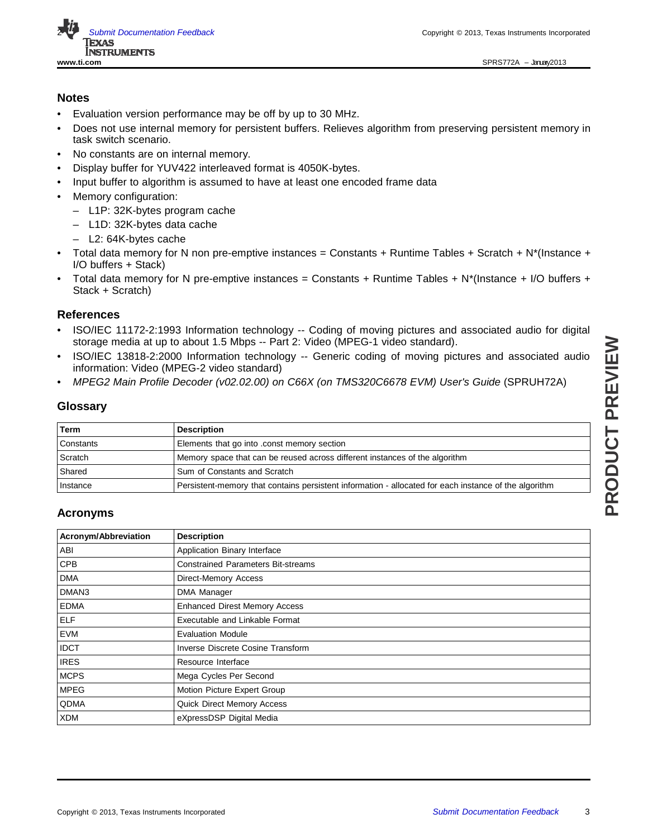



**Notes**

- Evaluation version performance may be off by up to 30 MHz.
- Does not use internal memory for persistent buffers. Relieves algorithm from preserving persistent memory in task switch scenario.
- No constants are on internal memory.
- Display buffer for YUV422 interleaved format is 4050K-bytes.
- Input buffer to algorithm is assumed to have at least one encoded frame data
- Memory configuration:
	- L1P: 32K-bytes program cache
	- L1D: 32K-bytes data cache
	- L2: 64K-bytes cache
- Total data memory for N non pre-emptive instances = Constants + Runtime Tables + Scratch +  $N^*$ (Instance + I/O buffers + Stack)
- Total data memory for N pre-emptive instances = Constants + Runtime Tables +  $N^*$ (Instance + I/O buffers + Stack + Scratch)

## **References**

- ISO/IEC 11172-2:1993 Information technology -- Coding of moving pictures and associated audio for digital storage media at up to about 1.5 Mbps -- Part 2: Video (MPEG-1 video standard).
- ISO/IEC 13818-2:2000 Information technology -- Generic coding of moving pictures and associated audio information: Video (MPEG-2 video standard)
- MPEG2 Main Profile Decoder (v02.02.00) on C66X (on TMS320C6678 EVM) User's Guide (SPRUH72A)

## **Glossary**

| Term      | <b>Description</b>                                                                                    |
|-----------|-------------------------------------------------------------------------------------------------------|
| Constants | Elements that go into .const memory section                                                           |
| Scratch   | Memory space that can be reused across different instances of the algorithm                           |
| Shared    | Sum of Constants and Scratch                                                                          |
| Instance  | Persistent-memory that contains persistent information - allocated for each instance of the algorithm |

## **Acronyms**

| Acronym/Abbreviation | <b>Description</b>                        |
|----------------------|-------------------------------------------|
| ABI                  | Application Binary Interface              |
| <b>CPB</b>           | <b>Constrained Parameters Bit-streams</b> |
| <b>DMA</b>           | <b>Direct-Memory Access</b>               |
| DMAN <sub>3</sub>    | <b>DMA Manager</b>                        |
| <b>EDMA</b>          | <b>Enhanced Direst Memory Access</b>      |
| <b>ELF</b>           | Executable and Linkable Format            |
| <b>EVM</b>           | <b>Evaluation Module</b>                  |
| <b>IDCT</b>          | Inverse Discrete Cosine Transform         |
| <b>IRES</b>          | Resource Interface                        |
| <b>MCPS</b>          | Mega Cycles Per Second                    |
| <b>MPEG</b>          | Motion Picture Expert Group               |
| QDMA                 | <b>Quick Direct Memory Access</b>         |
| <b>XDM</b>           | eXpressDSP Digital Media                  |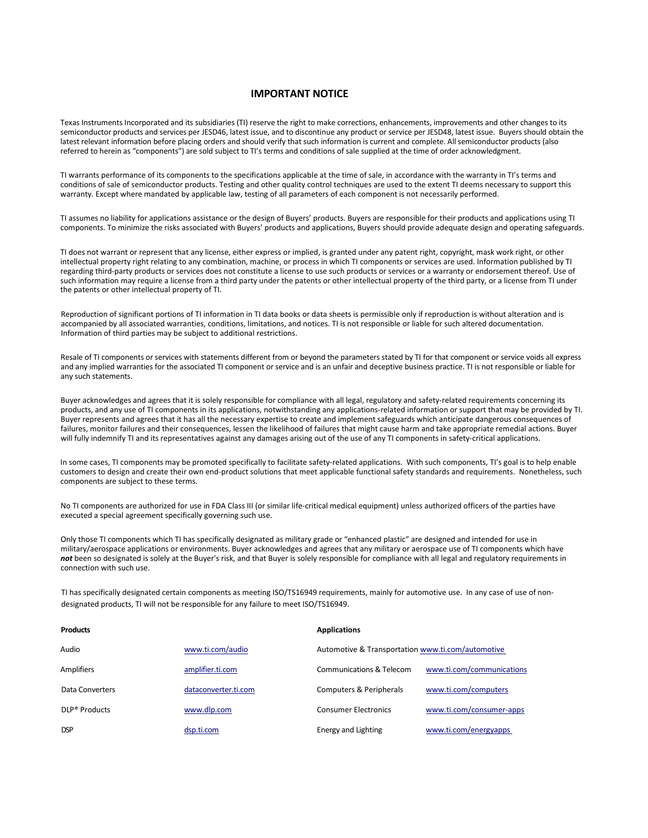#### **IMPORTANT NOTICE**

Texas Instruments Incorporated and its subsidiaries (TI) reserve the right to make corrections, enhancements, improvements and other changes to its semiconductor products and services per JESD46, latest issue, and to discontinue any product or service per JESD48, latest issue. Buyers should obtain the latest relevant information before placing orders and should verify that such information is current and complete. All semiconductor products (also referred to herein as "components") are sold subject to TI's terms and conditions of sale supplied at the time of order acknowledgment.

TI warrants performance of its components to the specifications applicable at the time of sale, in accordance with the warranty in TI's terms and conditions of sale of semiconductor products. Testing and other quality control techniques are used to the extent TI deems necessary to support this warranty. Except where mandated by applicable law, testing of all parameters of each component is not necessarily performed.

TI assumes no liability for applications assistance or the design of Buyers' products. Buyers are responsible for their products and applications using TI components. To minimize the risks associated with Buyers' products and applications, Buyers should provide adequate design and operating safeguards.

TI does not warrant or represent that any license, either express or implied, is granted under any patent right, copyright, mask work right, or other intellectual property right relating to any combination, machine, or process in which TI components or services are used. Information published by TI regarding third-party products or services does not constitute a license to use such products or services or a warranty or endorsement thereof. Use of such information may require a license from a third party under the patents or other intellectual property of the third party, or a license from TI under the patents or other intellectual property of TI.

Reproduction of significant portions of TI information in TI data books or data sheets is permissible only if reproduction is without alteration and is accompanied by all associated warranties, conditions, limitations, and notices. TI is not responsible or liable for such altered documentation. Information of third parties may be subject to additional restrictions.

Resale of TI components or services with statements different from or beyond the parameters stated by TI for that component or service voids all express and any implied warranties for the associated TI component or service and is an unfair and deceptive business practice. TI is not responsible or liable for any such statements.

Buyer acknowledges and agrees that it is solely responsible for compliance with all legal, regulatory and safety-related requirements concerning its products, and any use of TI components in its applications, notwithstanding any applications-related information or support that may be provided by TI. Buyer represents and agrees that it has all the necessary expertise to create and implement safeguards which anticipate dangerous consequences of failures, monitor failures and their consequences, lessen the likelihood of failures that might cause harm and take appropriate remedial actions. Buyer will fully indemnify TI and its representatives against any damages arising out of the use of any TI components in safety-critical applications.

In some cases, TI components may be promoted specifically to facilitate safety-related applications. With such components, TI's goal is to help enable customers to design and create their own end-product solutions that meet applicable functional safety standards and requirements. Nonetheless, such components are subject to these terms.

No TI components are authorized for use in FDA Class III (or similar life-critical medical equipment) unless authorized officers of the parties have executed a special agreement specifically governing such use.

Only those TI components which TI has specifically designated as military grade or "enhanced plastic" are designed and intended for use in military/aerospace applications or environments. Buyer acknowledges and agrees that any military or aerospace use of TI components which have *not* been so designated is solely at the Buyer's risk, and that Buyer is solely responsible for compliance with all legal and regulatory requirements in connection with such use.

TI has specifically designated certain components as meeting ISO/TS16949 requirements, mainly for automotive use. In any case of use of nondesignated products, TI will not be responsible for any failure to meet ISO/TS16949.

| <b>Products</b>           |                      | <b>Applications</b>                               |                           |  |
|---------------------------|----------------------|---------------------------------------------------|---------------------------|--|
| www.ti.com/audio<br>Audio |                      | Automotive & Transportation www.ti.com/automotive |                           |  |
| <b>Amplifiers</b>         | amplifier.ti.com     | Communications & Telecom                          | www.ti.com/communications |  |
| Data Converters           | dataconverter.ti.com | Computers & Peripherals                           | www.ti.com/computers      |  |
| DLP <sup>®</sup> Products | www.dlp.com          | <b>Consumer Electronics</b>                       | www.ti.com/consumer-apps  |  |
| <b>DSP</b>                | dsp.ti.com           | Energy and Lighting                               | www.ti.com/energyapps     |  |